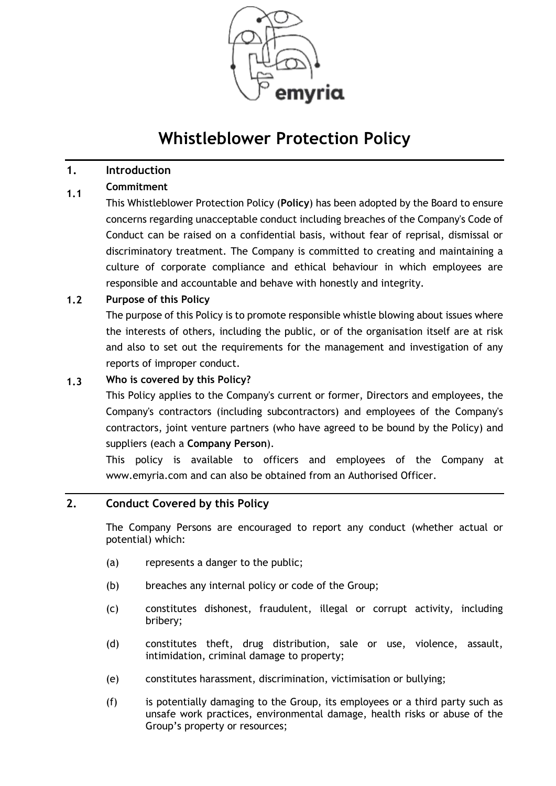

# **Whistleblower Protection Policy**

#### **1. Introduction**

#### **1.1 Commitment**

This Whistleblower Protection Policy (**Policy**) has been adopted by the Board to ensure concerns regarding unacceptable conduct including breaches of the Company's Code of Conduct can be raised on a confidential basis, without fear of reprisal, dismissal or discriminatory treatment. The Company is committed to creating and maintaining a culture of corporate compliance and ethical behaviour in which employees are responsible and accountable and behave with honestly and integrity.

#### **1.2 Purpose of this Policy**

The purpose of this Policy is to promote responsible whistle blowing about issues where the interests of others, including the public, or of the organisation itself are at risk and also to set out the requirements for the management and investigation of any reports of improper conduct.

#### **1.3 Who is covered by this Policy?**

This Policy applies to the Company's current or former, Directors and employees, the Company's contractors (including subcontractors) and employees of the Company's contractors, joint venture partners (who have agreed to be bound by the Policy) and suppliers (each a **Company Person**).

This policy is available to officers and employees of the Company at www.emyria.com and can also be obtained from an Authorised Officer.

# <span id="page-0-0"></span>**2. Conduct Covered by this Policy**

The Company Persons are encouraged to report any conduct (whether actual or potential) which:

- (a) represents a danger to the public;
- (b) breaches any internal policy or code of the Group;
- (c) constitutes dishonest, fraudulent, illegal or corrupt activity, including bribery;
- (d) constitutes theft, drug distribution, sale or use, violence, assault, intimidation, criminal damage to property;
- (e) constitutes harassment, discrimination, victimisation or bullying;
- (f) is potentially damaging to the Group, its employees or a third party such as unsafe work practices, environmental damage, health risks or abuse of the Group's property or resources;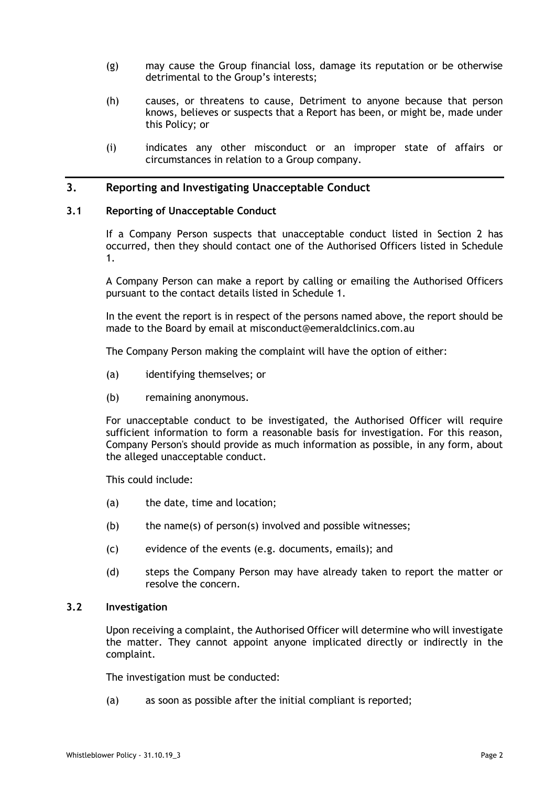- (g) may cause the Group financial loss, damage its reputation or be otherwise detrimental to the Group's interests;
- (h) causes, or threatens to cause, Detriment to anyone because that person knows, believes or suspects that a Report has been, or might be, made under this Policy; or
- (i) indicates any other misconduct or an improper state of affairs or circumstances in relation to a Group company.

### **3. Reporting and Investigating Unacceptable Conduct**

#### **3.1 Reporting of Unacceptable Conduct**

If a Company Person suspects that unacceptable conduct listed in Section [2](#page-0-0) has occurred, then they should contact one of the Authorised Officers listed in Schedule 1.

A Company Person can make a report by calling or emailing the Authorised Officers pursuant to the contact details listed in Schedule 1.

In the event the report is in respect of the persons named above, the report should be made to the Board by email at misconduct@emeraldclinics.com.au

The Company Person making the complaint will have the option of either:

- (a) identifying themselves; or
- (b) remaining anonymous.

For unacceptable conduct to be investigated, the Authorised Officer will require sufficient information to form a reasonable basis for investigation. For this reason, Company Person's should provide as much information as possible, in any form, about the alleged unacceptable conduct.

This could include:

- (a) the date, time and location;
- (b) the name(s) of person(s) involved and possible witnesses;
- (c) evidence of the events (e.g. documents, emails); and
- (d) steps the Company Person may have already taken to report the matter or resolve the concern.

#### **3.2 Investigation**

Upon receiving a complaint, the Authorised Officer will determine who will investigate the matter. They cannot appoint anyone implicated directly or indirectly in the complaint.

The investigation must be conducted:

(a) as soon as possible after the initial compliant is reported;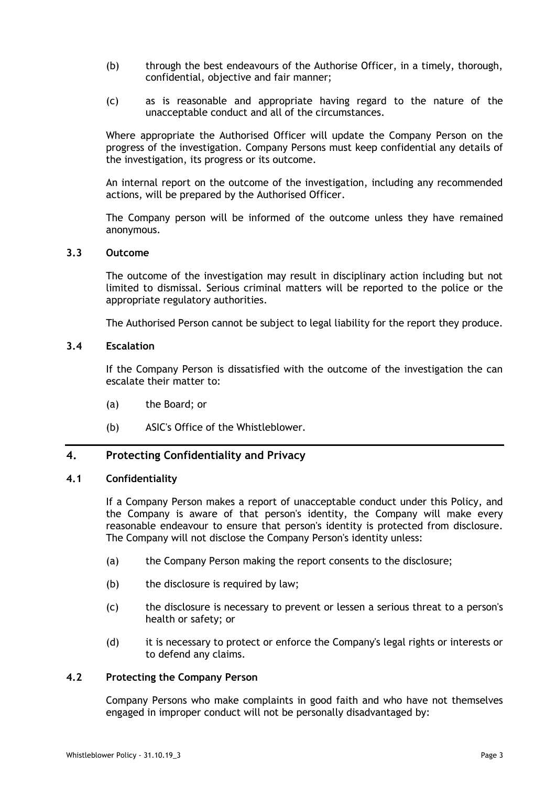- (b) through the best endeavours of the Authorise Officer, in a timely, thorough, confidential, objective and fair manner;
- (c) as is reasonable and appropriate having regard to the nature of the unacceptable conduct and all of the circumstances.

Where appropriate the Authorised Officer will update the Company Person on the progress of the investigation. Company Persons must keep confidential any details of the investigation, its progress or its outcome.

An internal report on the outcome of the investigation, including any recommended actions, will be prepared by the Authorised Officer.

The Company person will be informed of the outcome unless they have remained anonymous.

#### **3.3 Outcome**

The outcome of the investigation may result in disciplinary action including but not limited to dismissal. Serious criminal matters will be reported to the police or the appropriate regulatory authorities.

The Authorised Person cannot be subject to legal liability for the report they produce.

#### **3.4 Escalation**

If the Company Person is dissatisfied with the outcome of the investigation the can escalate their matter to:

- (a) the Board; or
- (b) ASIC's Office of the Whistleblower.

# **4. Protecting Confidentiality and Privacy**

#### **4.1 Confidentiality**

If a Company Person makes a report of unacceptable conduct under this Policy, and the Company is aware of that person's identity, the Company will make every reasonable endeavour to ensure that person's identity is protected from disclosure. The Company will not disclose the Company Person's identity unless:

- (a) the Company Person making the report consents to the disclosure;
- (b) the disclosure is required by law;
- (c) the disclosure is necessary to prevent or lessen a serious threat to a person's health or safety; or
- (d) it is necessary to protect or enforce the Company's legal rights or interests or to defend any claims.

#### **4.2 Protecting the Company Person**

Company Persons who make complaints in good faith and who have not themselves engaged in improper conduct will not be personally disadvantaged by: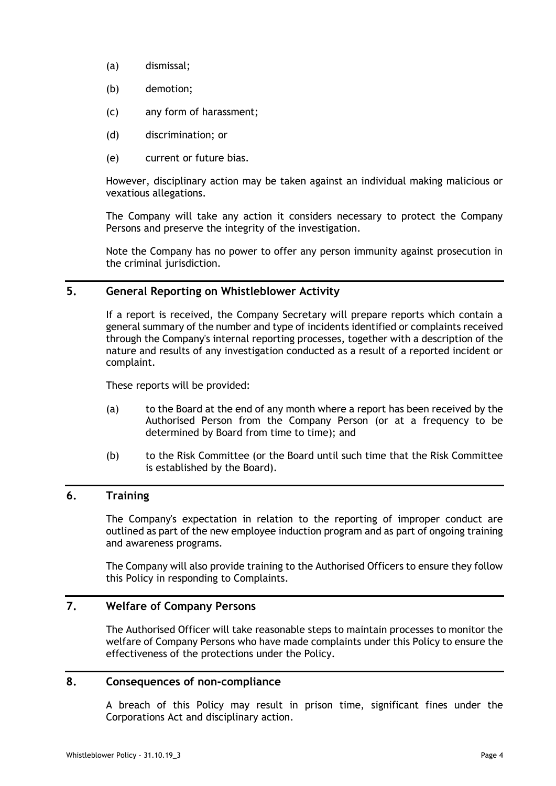- (a) dismissal;
- (b) demotion;
- (c) any form of harassment;
- (d) discrimination; or
- (e) current or future bias.

However, disciplinary action may be taken against an individual making malicious or vexatious allegations.

The Company will take any action it considers necessary to protect the Company Persons and preserve the integrity of the investigation.

Note the Company has no power to offer any person immunity against prosecution in the criminal jurisdiction.

# **5. General Reporting on Whistleblower Activity**

If a report is received, the Company Secretary will prepare reports which contain a general summary of the number and type of incidents identified or complaints received through the Company's internal reporting processes, together with a description of the nature and results of any investigation conducted as a result of a reported incident or complaint.

These reports will be provided:

- (a) to the Board at the end of any month where a report has been received by the Authorised Person from the Company Person (or at a frequency to be determined by Board from time to time); and
- (b) to the Risk Committee (or the Board until such time that the Risk Committee is established by the Board).

### **6. Training**

The Company's expectation in relation to the reporting of improper conduct are outlined as part of the new employee induction program and as part of ongoing training and awareness programs.

The Company will also provide training to the Authorised Officers to ensure they follow this Policy in responding to Complaints.

# **7. Welfare of Company Persons**

The Authorised Officer will take reasonable steps to maintain processes to monitor the welfare of Company Persons who have made complaints under this Policy to ensure the effectiveness of the protections under the Policy.

# **8. Consequences of non-compliance**

A breach of this Policy may result in prison time, significant fines under the Corporations Act and disciplinary action.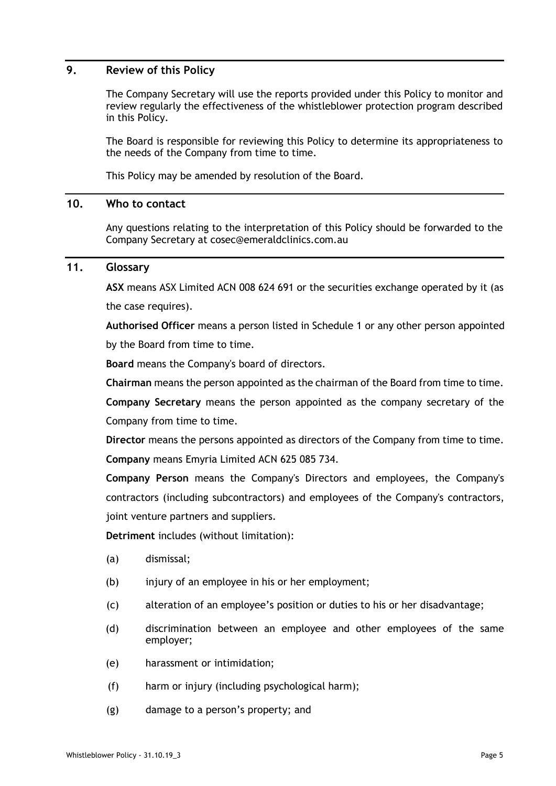### **9. Review of this Policy**

The Company Secretary will use the reports provided under this Policy to monitor and review regularly the effectiveness of the whistleblower protection program described in this Policy.

The Board is responsible for reviewing this Policy to determine its appropriateness to the needs of the Company from time to time.

This Policy may be amended by resolution of the Board.

### **10. Who to contact**

Any questions relating to the interpretation of this Policy should be forwarded to the Company Secretary at cosec@emeraldclinics.com.au

# **11. Glossary**

**ASX** means ASX Limited ACN 008 624 691 or the securities exchange operated by it (as the case requires).

**Authorised Officer** means a person listed in Schedule 1 or any other person appointed by the Board from time to time.

**Board** means the Company's board of directors.

**Chairman** means the person appointed as the chairman of the Board from time to time.

**Company Secretary** means the person appointed as the company secretary of the Company from time to time.

**Director** means the persons appointed as directors of the Company from time to time. **Company** means Emyria Limited ACN 625 085 734.

**Company Person** means the Company's Directors and employees, the Company's contractors (including subcontractors) and employees of the Company's contractors, joint venture partners and suppliers.

**Detriment** includes (without limitation):

- (a) dismissal;
- (b) injury of an employee in his or her employment;
- (c) alteration of an employee's position or duties to his or her disadvantage;
- (d) discrimination between an employee and other employees of the same employer;
- (e) harassment or intimidation;
- (f) harm or injury (including psychological harm);
- (g) damage to a person's property; and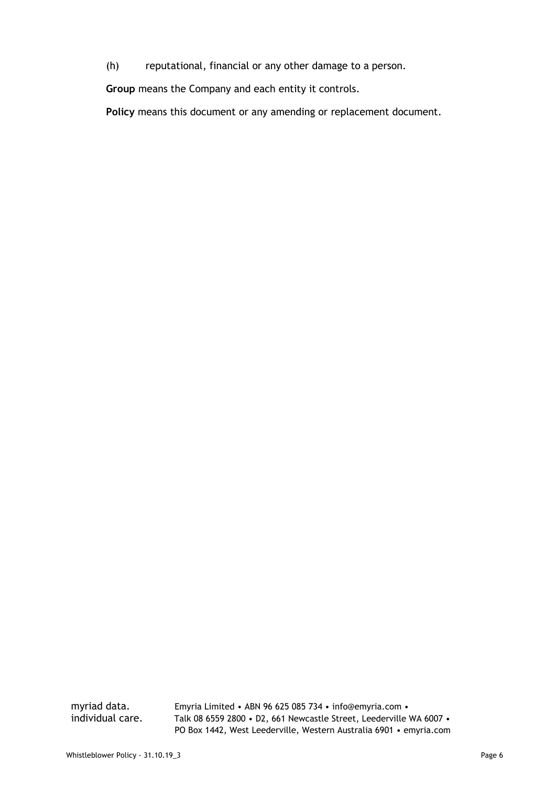(h) reputational, financial or any other damage to a person.

**Group** means the Company and each entity it controls.

Policy means this document or any amending or replacement document.